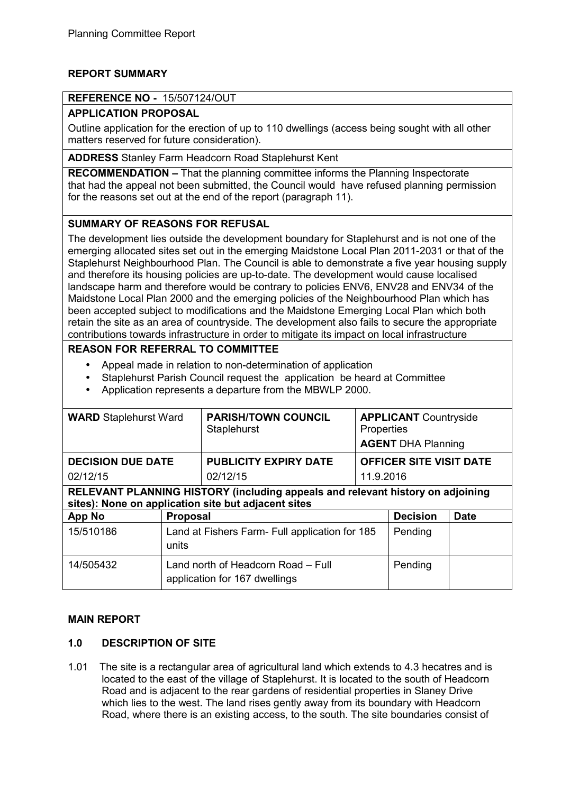# **REPORT SUMMARY**

## **REFERENCE NO -** 15/507124/OUT

## **APPLICATION PROPOSAL**

Outline application for the erection of up to 110 dwellings (access being sought with all other matters reserved for future consideration).

**ADDRESS** Stanley Farm Headcorn Road Staplehurst Kent

**RECOMMENDATION –** That the planning committee informs the Planning Inspectorate that had the appeal not been submitted, the Council would have refused planning permission for the reasons set out at the end of the report (paragraph 11).

## **SUMMARY OF REASONS FOR REFUSAL**

The development lies outside the development boundary for Staplehurst and is not one of the emerging allocated sites set out in the emerging Maidstone Local Plan 2011-2031 or that of the Staplehurst Neighbourhood Plan. The Council is able to demonstrate a five year housing supply and therefore its housing policies are up-to-date. The development would cause localised landscape harm and therefore would be contrary to policies ENV6, ENV28 and ENV34 of the Maidstone Local Plan 2000 and the emerging policies of the Neighbourhood Plan which has been accepted subject to modifications and the Maidstone Emerging Local Plan which both retain the site as an area of countryside. The development also fails to secure the appropriate contributions towards infrastructure in order to mitigate its impact on local infrastructure

## **REASON FOR REFERRAL TO COMMITTEE**

- Appeal made in relation to non-determination of application
- Staplehurst Parish Council request the application be heard at Committee
- Application represents a departure from the MBWLP 2000.

| <b>WARD</b> Staplehurst Ward                                                                                                          |                 | <b>PARISH/TOWN COUNCIL</b><br>Staplehurst                           | Properties<br><b>AGENT DHA Planning</b> | <b>APPLICANT Countryside</b>   |             |  |  |
|---------------------------------------------------------------------------------------------------------------------------------------|-----------------|---------------------------------------------------------------------|-----------------------------------------|--------------------------------|-------------|--|--|
| <b>DECISION DUE DATE</b>                                                                                                              |                 | <b>PUBLICITY EXPIRY DATE</b>                                        |                                         | <b>OFFICER SITE VISIT DATE</b> |             |  |  |
| 02/12/15                                                                                                                              |                 | 02/12/15                                                            | 11.9.2016                               |                                |             |  |  |
| RELEVANT PLANNING HISTORY (including appeals and relevant history on adjoining<br>sites): None on application site but adjacent sites |                 |                                                                     |                                         |                                |             |  |  |
| App No                                                                                                                                | <b>Proposal</b> |                                                                     |                                         | <b>Decision</b>                | <b>Date</b> |  |  |
| 15/510186                                                                                                                             | units           | Land at Fishers Farm - Full application for 185                     |                                         | Pending                        |             |  |  |
| 14/505432                                                                                                                             |                 | Land north of Headcorn Road – Full<br>application for 167 dwellings |                                         | Pending                        |             |  |  |

#### **MAIN REPORT**

#### **1.0 DESCRIPTION OF SITE**

1.01 The site is a rectangular area of agricultural land which extends to 4.3 hecatres and is located to the east of the village of Staplehurst. It is located to the south of Headcorn Road and is adjacent to the rear gardens of residential properties in Slaney Drive which lies to the west. The land rises gently away from its boundary with Headcorn Road, where there is an existing access, to the south. The site boundaries consist of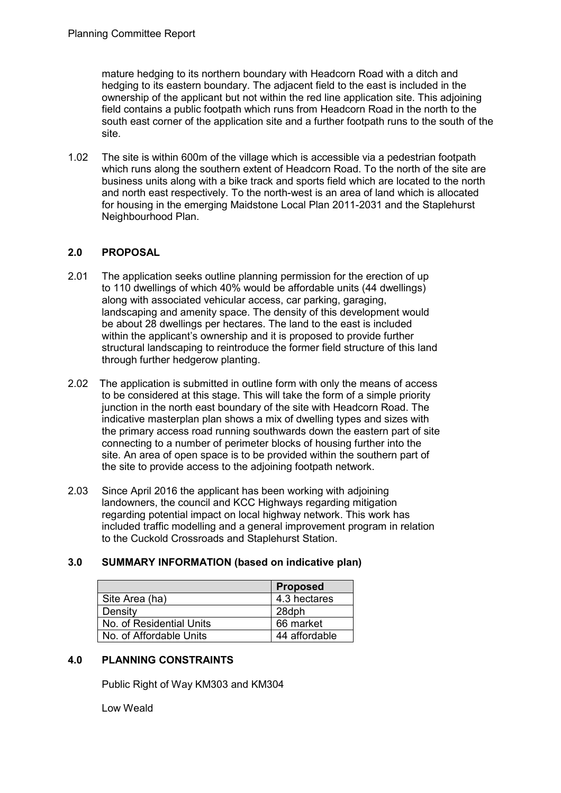mature hedging to its northern boundary with Headcorn Road with a ditch and hedging to its eastern boundary. The adjacent field to the east is included in the ownership of the applicant but not within the red line application site. This adjoining field contains a public footpath which runs from Headcorn Road in the north to the south east corner of the application site and a further footpath runs to the south of the site.

1.02 The site is within 600m of the village which is accessible via a pedestrian footpath which runs along the southern extent of Headcorn Road. To the north of the site are business units along with a bike track and sports field which are located to the north and north east respectively. To the north-west is an area of land which is allocated for housing in the emerging Maidstone Local Plan 2011-2031 and the Staplehurst Neighbourhood Plan.

# **2.0 PROPOSAL**

- 2.01 The application seeks outline planning permission for the erection of up to 110 dwellings of which 40% would be affordable units (44 dwellings) along with associated vehicular access, car parking, garaging, landscaping and amenity space. The density of this development would be about 28 dwellings per hectares. The land to the east is included within the applicant's ownership and it is proposed to provide further structural landscaping to reintroduce the former field structure of this land through further hedgerow planting.
- 2.02 The application is submitted in outline form with only the means of access to be considered at this stage. This will take the form of a simple priority junction in the north east boundary of the site with Headcorn Road. The indicative masterplan plan shows a mix of dwelling types and sizes with the primary access road running southwards down the eastern part of site connecting to a number of perimeter blocks of housing further into the site. An area of open space is to be provided within the southern part of the site to provide access to the adjoining footpath network.
- 2.03 Since April 2016 the applicant has been working with adjoining landowners, the council and KCC Highways regarding mitigation regarding potential impact on local highway network. This work has included traffic modelling and a general improvement program in relation to the Cuckold Crossroads and Staplehurst Station.

## **3.0 SUMMARY INFORMATION (based on indicative plan)**

|                          | <b>Proposed</b> |
|--------------------------|-----------------|
| Site Area (ha)           | 4.3 hectares    |
| Density                  | 28dph           |
| No. of Residential Units | 66 market       |
| No. of Affordable Units  | 44 affordable   |

## **4.0 PLANNING CONSTRAINTS**

Public Right of Way KM303 and KM304

Low Weald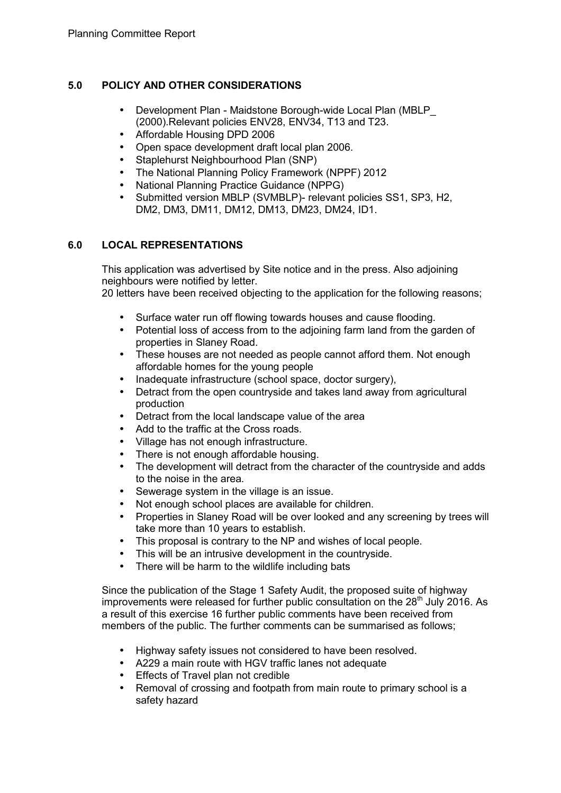# **5.0 POLICY AND OTHER CONSIDERATIONS**

- Development Plan Maidstone Borough-wide Local Plan (MBLP\_ (2000).Relevant policies ENV28, ENV34, T13 and T23.
- Affordable Housing DPD 2006
- Open space development draft local plan 2006.
- Staplehurst Neighbourhood Plan (SNP)
- The National Planning Policy Framework (NPPF) 2012
- National Planning Practice Guidance (NPPG)
- Submitted version MBLP (SVMBLP)- relevant policies SS1, SP3, H2, DM2, DM3, DM11, DM12, DM13, DM23, DM24, ID1.

# **6.0 LOCAL REPRESENTATIONS**

 This application was advertised by Site notice and in the press. Also adjoining neighbours were notified by letter.

20 letters have been received objecting to the application for the following reasons;

- Surface water run off flowing towards houses and cause flooding.
- Potential loss of access from to the adjoining farm land from the garden of properties in Slaney Road.
- These houses are not needed as people cannot afford them. Not enough affordable homes for the young people
- Inadequate infrastructure (school space, doctor surgery),
- Detract from the open countryside and takes land away from agricultural production
- Detract from the local landscape value of the area
- Add to the traffic at the Cross roads.
- Village has not enough infrastructure.
- There is not enough affordable housing.
- The development will detract from the character of the countryside and adds to the noise in the area.
- Sewerage system in the village is an issue.
- Not enough school places are available for children.
- Properties in Slaney Road will be over looked and any screening by trees will take more than 10 years to establish.
- This proposal is contrary to the NP and wishes of local people.
- This will be an intrusive development in the country side.
- There will be harm to the wildlife including bats

Since the publication of the Stage 1 Safety Audit, the proposed suite of highway improvements were released for further public consultation on the  $28<sup>th</sup>$  July 2016. As a result of this exercise 16 further public comments have been received from members of the public. The further comments can be summarised as follows;

- Highway safety issues not considered to have been resolved.
- A229 a main route with HGV traffic lanes not adequate
- Effects of Travel plan not credible
- Removal of crossing and footpath from main route to primary school is a safety hazard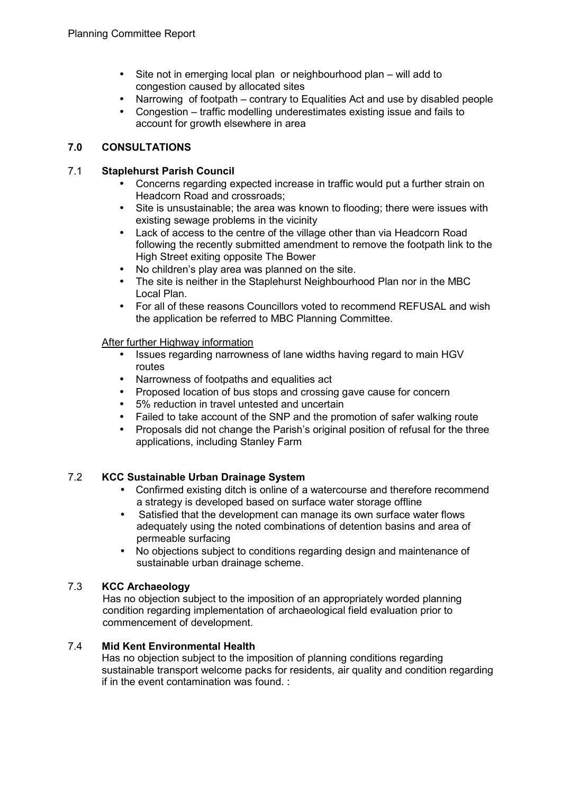- Site not in emerging local plan or neighbourhood plan will add to congestion caused by allocated sites
- Narrowing of footpath contrary to Equalities Act and use by disabled people
- Congestion traffic modelling underestimates existing issue and fails to account for growth elsewhere in area

## **7.0 CONSULTATIONS**

## 7.1 **Staplehurst Parish Council**

- Concerns regarding expected increase in traffic would put a further strain on Headcorn Road and crossroads;
- Site is unsustainable; the area was known to flooding; there were issues with existing sewage problems in the vicinity
- Lack of access to the centre of the village other than via Headcorn Road following the recently submitted amendment to remove the footpath link to the High Street exiting opposite The Bower
- No children's play area was planned on the site.
- The site is neither in the Staplehurst Neighbourhood Plan nor in the MBC Local Plan.
- For all of these reasons Councillors voted to recommend REFUSAL and wish the application be referred to MBC Planning Committee.

## After further Highway information

- Issues regarding narrowness of lane widths having regard to main HGV routes
- Narrowness of footpaths and equalities act
- Proposed location of bus stops and crossing gave cause for concern
- 5% reduction in travel untested and uncertain
- Failed to take account of the SNP and the promotion of safer walking route
- Proposals did not change the Parish's original position of refusal for the three applications, including Stanley Farm

## 7.2 **KCC Sustainable Urban Drainage System**

- Confirmed existing ditch is online of a watercourse and therefore recommend a strategy is developed based on surface water storage offline
- Satisfied that the development can manage its own surface water flows adequately using the noted combinations of detention basins and area of permeable surfacing
- No objections subject to conditions regarding design and maintenance of sustainable urban drainage scheme.

#### 7.3 **KCC Archaeology**

Has no objection subject to the imposition of an appropriately worded planning condition regarding implementation of archaeological field evaluation prior to commencement of development.

#### 7.4 **Mid Kent Environmental Health**

Has no objection subject to the imposition of planning conditions regarding sustainable transport welcome packs for residents, air quality and condition regarding if in the event contamination was found. :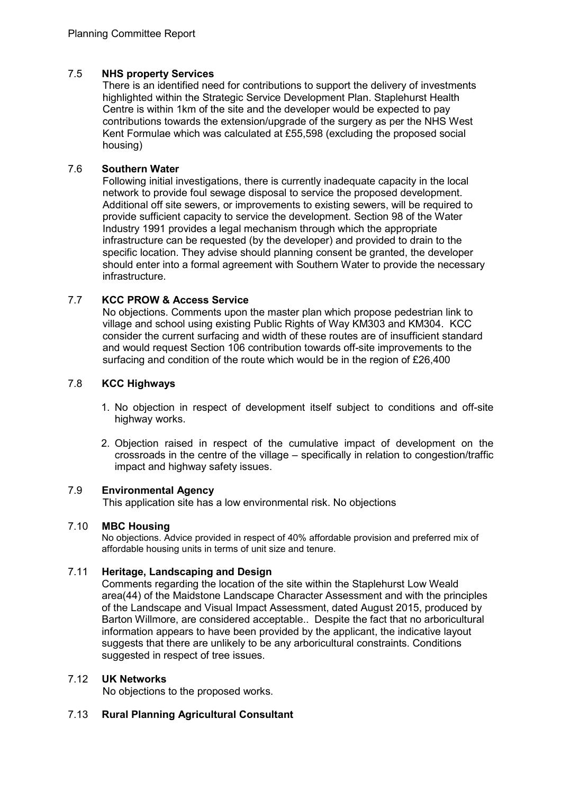## 7.5 **NHS property Services**

There is an identified need for contributions to support the delivery of investments highlighted within the Strategic Service Development Plan. Staplehurst Health Centre is within 1km of the site and the developer would be expected to pay contributions towards the extension/upgrade of the surgery as per the NHS West Kent Formulae which was calculated at £55,598 (excluding the proposed social housing)

## 7.6 **Southern Water**

Following initial investigations, there is currently inadequate capacity in the local network to provide foul sewage disposal to service the proposed development. Additional off site sewers, or improvements to existing sewers, will be required to provide sufficient capacity to service the development. Section 98 of the Water Industry 1991 provides a legal mechanism through which the appropriate infrastructure can be requested (by the developer) and provided to drain to the specific location. They advise should planning consent be granted, the developer should enter into a formal agreement with Southern Water to provide the necessary infrastructure.

## 7.7 **KCC PROW & Access Service**

No objections. Comments upon the master plan which propose pedestrian link to village and school using existing Public Rights of Way KM303 and KM304. KCC consider the current surfacing and width of these routes are of insufficient standard and would request Section 106 contribution towards off-site improvements to the surfacing and condition of the route which would be in the region of £26,400

## 7.8 **KCC Highways**

- 1. No objection in respect of development itself subject to conditions and off-site highway works.
- 2. Objection raised in respect of the cumulative impact of development on the crossroads in the centre of the village – specifically in relation to congestion/traffic impact and highway safety issues.

#### 7.9 **Environmental Agency**

This application site has a low environmental risk. No objections

#### 7.10 **MBC Housing**

No objections. Advice provided in respect of 40% affordable provision and preferred mix of affordable housing units in terms of unit size and tenure.

## 7.11 **Heritage, Landscaping and Design**

Comments regarding the location of the site within the Staplehurst Low Weald area(44) of the Maidstone Landscape Character Assessment and with the principles of the Landscape and Visual Impact Assessment, dated August 2015, produced by Barton Willmore, are considered acceptable.. Despite the fact that no arboricultural information appears to have been provided by the applicant, the indicative layout suggests that there are unlikely to be any arboricultural constraints. Conditions suggested in respect of tree issues.

#### 7.12 **UK Networks**

No objections to the proposed works.

## 7.13 **Rural Planning Agricultural Consultant**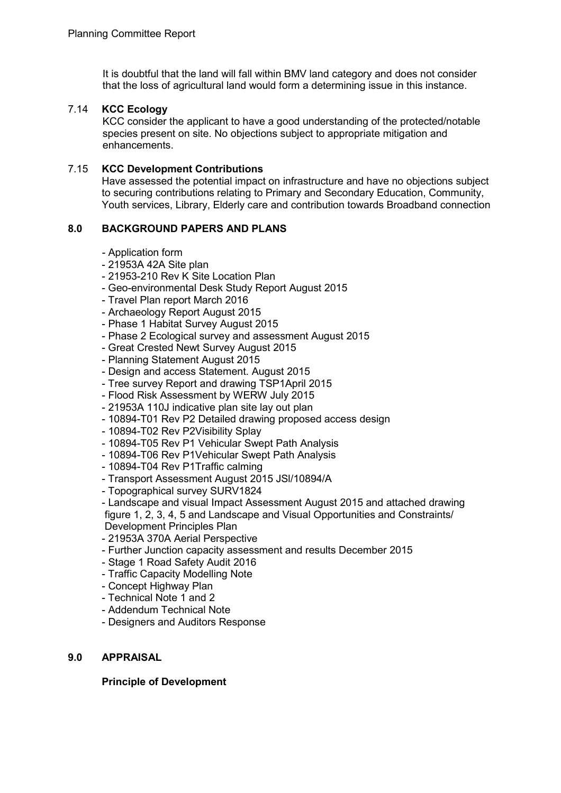It is doubtful that the land will fall within BMV land category and does not consider that the loss of agricultural land would form a determining issue in this instance.

## 7.14 **KCC Ecology**

KCC consider the applicant to have a good understanding of the protected/notable species present on site. No objections subject to appropriate mitigation and enhancements.

### 7.15 **KCC Development Contributions**

Have assessed the potential impact on infrastructure and have no objections subject to securing contributions relating to Primary and Secondary Education, Community, Youth services, Library, Elderly care and contribution towards Broadband connection

## **8.0 BACKGROUND PAPERS AND PLANS**

- Application form
- 21953A 42A Site plan
- 21953-210 Rev K Site Location Plan
- Geo-environmental Desk Study Report August 2015
- Travel Plan report March 2016
- Archaeology Report August 2015
- Phase 1 Habitat Survey August 2015
- Phase 2 Ecological survey and assessment August 2015
- Great Crested Newt Survey August 2015
- Planning Statement August 2015
- Design and access Statement. August 2015
- Tree survey Report and drawing TSP1April 2015
- Flood Risk Assessment by WERW July 2015
- 21953A 110J indicative plan site lay out plan
- 10894-T01 Rev P2 Detailed drawing proposed access design
- 10894-T02 Rev P2Visibility Splay
- 10894-T05 Rev P1 Vehicular Swept Path Analysis
- 10894-T06 Rev P1Vehicular Swept Path Analysis
- 10894-T04 Rev P1Traffic calming
- Transport Assessment August 2015 JSl/10894/A
- Topographical survey SURV1824
- Landscape and visual Impact Assessment August 2015 and attached drawing figure 1, 2, 3, 4, 5 and Landscape and Visual Opportunities and Constraints/ Development Principles Plan
- 21953A 370A Aerial Perspective
- Further Junction capacity assessment and results December 2015
- Stage 1 Road Safety Audit 2016
- Traffic Capacity Modelling Note
- Concept Highway Plan
- Technical Note 1 and 2
- Addendum Technical Note
- Designers and Auditors Response

#### **9.0 APPRAISAL**

**Principle of Development**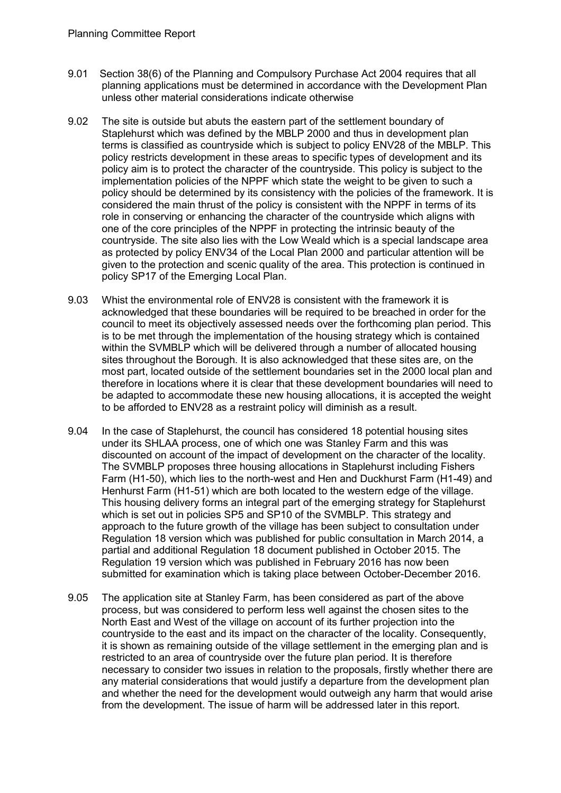- 9.01 Section 38(6) of the Planning and Compulsory Purchase Act 2004 requires that all planning applications must be determined in accordance with the Development Plan unless other material considerations indicate otherwise
- 9.02 The site is outside but abuts the eastern part of the settlement boundary of Staplehurst which was defined by the MBLP 2000 and thus in development plan terms is classified as countryside which is subject to policy ENV28 of the MBLP. This policy restricts development in these areas to specific types of development and its policy aim is to protect the character of the countryside. This policy is subject to the implementation policies of the NPPF which state the weight to be given to such a policy should be determined by its consistency with the policies of the framework. It is considered the main thrust of the policy is consistent with the NPPF in terms of its role in conserving or enhancing the character of the countryside which aligns with one of the core principles of the NPPF in protecting the intrinsic beauty of the countryside. The site also lies with the Low Weald which is a special landscape area as protected by policy ENV34 of the Local Plan 2000 and particular attention will be given to the protection and scenic quality of the area. This protection is continued in policy SP17 of the Emerging Local Plan.
- 9.03 Whist the environmental role of ENV28 is consistent with the framework it is acknowledged that these boundaries will be required to be breached in order for the council to meet its objectively assessed needs over the forthcoming plan period. This is to be met through the implementation of the housing strategy which is contained within the SVMBLP which will be delivered through a number of allocated housing sites throughout the Borough. It is also acknowledged that these sites are, on the most part, located outside of the settlement boundaries set in the 2000 local plan and therefore in locations where it is clear that these development boundaries will need to be adapted to accommodate these new housing allocations, it is accepted the weight to be afforded to ENV28 as a restraint policy will diminish as a result.
- 9.04 In the case of Staplehurst, the council has considered 18 potential housing sites under its SHLAA process, one of which one was Stanley Farm and this was discounted on account of the impact of development on the character of the locality. The SVMBLP proposes three housing allocations in Staplehurst including Fishers Farm (H1-50), which lies to the north-west and Hen and Duckhurst Farm (H1-49) and Henhurst Farm (H1-51) which are both located to the western edge of the village. This housing delivery forms an integral part of the emerging strategy for Staplehurst which is set out in policies SP5 and SP10 of the SVMBLP. This strategy and approach to the future growth of the village has been subject to consultation under Regulation 18 version which was published for public consultation in March 2014, a partial and additional Regulation 18 document published in October 2015. The Regulation 19 version which was published in February 2016 has now been submitted for examination which is taking place between October-December 2016.
- 9.05 The application site at Stanley Farm, has been considered as part of the above process, but was considered to perform less well against the chosen sites to the North East and West of the village on account of its further projection into the countryside to the east and its impact on the character of the locality. Consequently, it is shown as remaining outside of the village settlement in the emerging plan and is restricted to an area of countryside over the future plan period. It is therefore necessary to consider two issues in relation to the proposals, firstly whether there are any material considerations that would justify a departure from the development plan and whether the need for the development would outweigh any harm that would arise from the development. The issue of harm will be addressed later in this report.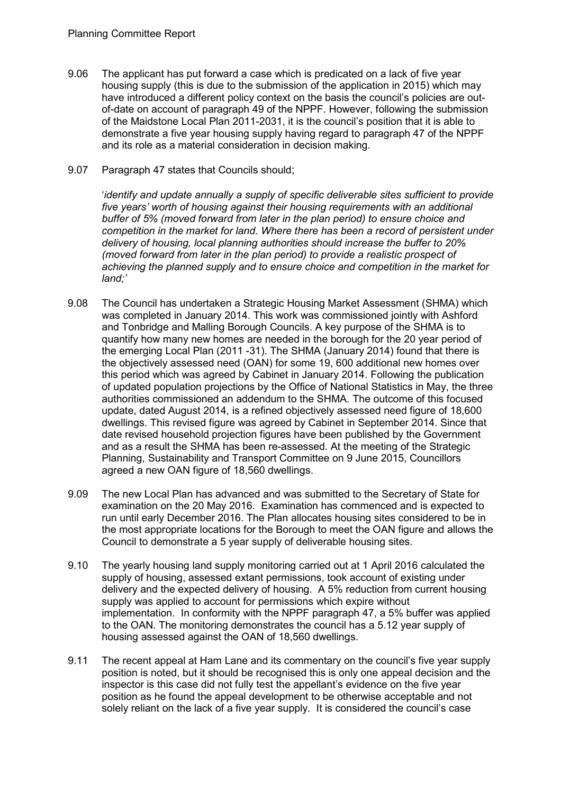- 9.06 The applicant has put forward a case which is predicated on a lack of five year housing supply (this is due to the submission of the application in 2015) which may have introduced a different policy context on the basis the council's policies are outof-date on account of paragraph 49 of the NPPF. However, following the submission of the Maidstone Local Plan 2011-2031, it is the council's position that it is able to demonstrate a five year housing supply having regard to paragraph 47 of the NPPF and its role as a material consideration in decision making.
- 9.07 Paragraph 47 states that Councils should;

'*identify and update annually a supply of specific deliverable sites sufficient to provide five years' worth of housing against their housing requirements with an additional buffer of 5% (moved forward from later in the plan period) to ensure choice and competition in the market for land. Where there has been a record of persistent under delivery of housing, local planning authorities should increase the buffer to 20% (moved forward from later in the plan period) to provide a realistic prospect of achieving the planned supply and to ensure choice and competition in the market for land;'* 

- 9.08 The Council has undertaken a Strategic Housing Market Assessment (SHMA) which was completed in January 2014. This work was commissioned jointly with Ashford and Tonbridge and Malling Borough Councils. A key purpose of the SHMA is to quantify how many new homes are needed in the borough for the 20 year period of the emerging Local Plan (2011 -31). The SHMA (January 2014) found that there is the objectively assessed need (OAN) for some 19, 600 additional new homes over this period which was agreed by Cabinet in January 2014. Following the publication of updated population projections by the Office of National Statistics in May, the three authorities commissioned an addendum to the SHMA. The outcome of this focused update, dated August 2014, is a refined objectively assessed need figure of 18,600 dwellings. This revised figure was agreed by Cabinet in September 2014. Since that date revised household projection figures have been published by the Government and as a result the SHMA has been re-assessed. At the meeting of the Strategic Planning, Sustainability and Transport Committee on 9 June 2015, Councillors agreed a new OAN figure of 18,560 dwellings.
- 9.09 The new Local Plan has advanced and was submitted to the Secretary of State for examination on the 20 May 2016. Examination has commenced and is expected to run until early December 2016. The Plan allocates housing sites considered to be in the most appropriate locations for the Borough to meet the OAN figure and allows the Council to demonstrate a 5 year supply of deliverable housing sites.
- 9.10 The yearly housing land supply monitoring carried out at 1 April 2016 calculated the supply of housing, assessed extant permissions, took account of existing under delivery and the expected delivery of housing. A 5% reduction from current housing supply was applied to account for permissions which expire without implementation. In conformity with the NPPF paragraph 47, a 5% buffer was applied to the OAN. The monitoring demonstrates the council has a 5.12 year supply of housing assessed against the OAN of 18,560 dwellings.
- 9.11 The recent appeal at Ham Lane and its commentary on the council's five year supply position is noted, but it should be recognised this is only one appeal decision and the inspector is this case did not fully test the appellant's evidence on the five year position as he found the appeal development to be otherwise acceptable and not solely reliant on the lack of a five year supply. It is considered the council's case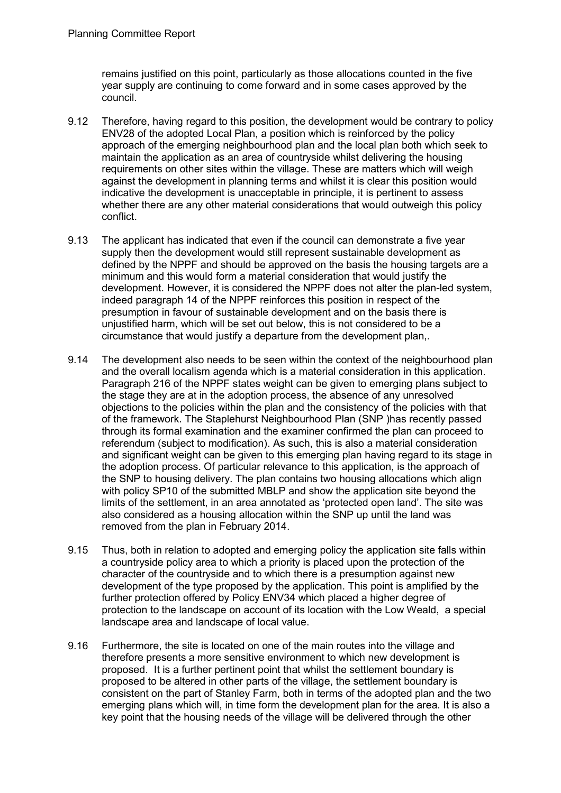remains justified on this point, particularly as those allocations counted in the five year supply are continuing to come forward and in some cases approved by the council.

- 9.12 Therefore, having regard to this position, the development would be contrary to policy ENV28 of the adopted Local Plan, a position which is reinforced by the policy approach of the emerging neighbourhood plan and the local plan both which seek to maintain the application as an area of countryside whilst delivering the housing requirements on other sites within the village. These are matters which will weigh against the development in planning terms and whilst it is clear this position would indicative the development is unacceptable in principle, it is pertinent to assess whether there are any other material considerations that would outweigh this policy conflict.
- 9.13 The applicant has indicated that even if the council can demonstrate a five year supply then the development would still represent sustainable development as defined by the NPPF and should be approved on the basis the housing targets are a minimum and this would form a material consideration that would justify the development. However, it is considered the NPPF does not alter the plan-led system, indeed paragraph 14 of the NPPF reinforces this position in respect of the presumption in favour of sustainable development and on the basis there is unjustified harm, which will be set out below, this is not considered to be a circumstance that would justify a departure from the development plan,.
- 9.14 The development also needs to be seen within the context of the neighbourhood plan and the overall localism agenda which is a material consideration in this application. Paragraph 216 of the NPPF states weight can be given to emerging plans subject to the stage they are at in the adoption process, the absence of any unresolved objections to the policies within the plan and the consistency of the policies with that of the framework. The Staplehurst Neighbourhood Plan (SNP )has recently passed through its formal examination and the examiner confirmed the plan can proceed to referendum (subject to modification). As such, this is also a material consideration and significant weight can be given to this emerging plan having regard to its stage in the adoption process. Of particular relevance to this application, is the approach of the SNP to housing delivery. The plan contains two housing allocations which align with policy SP10 of the submitted MBLP and show the application site beyond the limits of the settlement, in an area annotated as 'protected open land'. The site was also considered as a housing allocation within the SNP up until the land was removed from the plan in February 2014.
- 9.15 Thus, both in relation to adopted and emerging policy the application site falls within a countryside policy area to which a priority is placed upon the protection of the character of the countryside and to which there is a presumption against new development of the type proposed by the application. This point is amplified by the further protection offered by Policy ENV34 which placed a higher degree of protection to the landscape on account of its location with the Low Weald, a special landscape area and landscape of local value.
- 9.16 Furthermore, the site is located on one of the main routes into the village and therefore presents a more sensitive environment to which new development is proposed. It is a further pertinent point that whilst the settlement boundary is proposed to be altered in other parts of the village, the settlement boundary is consistent on the part of Stanley Farm, both in terms of the adopted plan and the two emerging plans which will, in time form the development plan for the area. It is also a key point that the housing needs of the village will be delivered through the other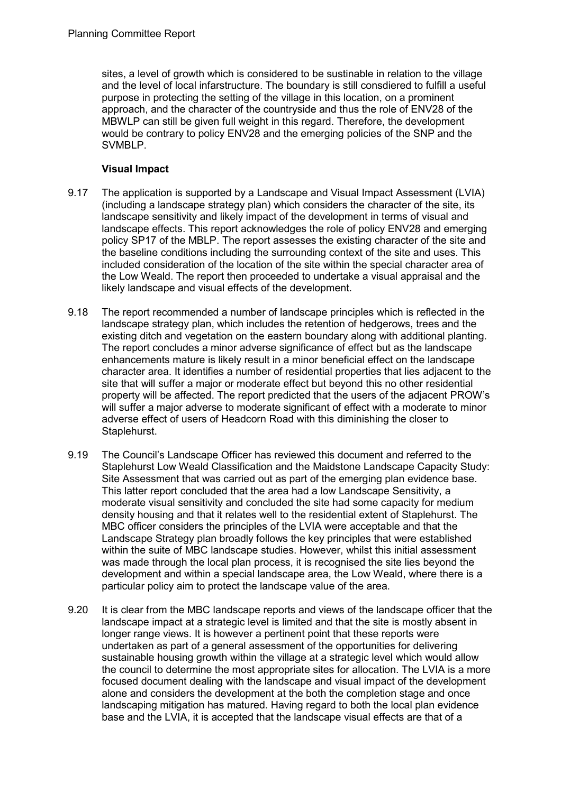sites, a level of growth which is considered to be sustinable in relation to the village and the level of local infarstructure. The boundary is still consdiered to fulfill a useful purpose in protecting the setting of the village in this location, on a prominent approach, and the character of the countryside and thus the role of ENV28 of the MBWLP can still be given full weight in this regard. Therefore, the development would be contrary to policy ENV28 and the emerging policies of the SNP and the SVMBLP.

## **Visual Impact**

- 9.17 The application is supported by a Landscape and Visual Impact Assessment (LVIA) (including a landscape strategy plan) which considers the character of the site, its landscape sensitivity and likely impact of the development in terms of visual and landscape effects. This report acknowledges the role of policy ENV28 and emerging policy SP17 of the MBLP. The report assesses the existing character of the site and the baseline conditions including the surrounding context of the site and uses. This included consideration of the location of the site within the special character area of the Low Weald. The report then proceeded to undertake a visual appraisal and the likely landscape and visual effects of the development.
- 9.18 The report recommended a number of landscape principles which is reflected in the landscape strategy plan, which includes the retention of hedgerows, trees and the existing ditch and vegetation on the eastern boundary along with additional planting. The report concludes a minor adverse significance of effect but as the landscape enhancements mature is likely result in a minor beneficial effect on the landscape character area. It identifies a number of residential properties that lies adjacent to the site that will suffer a major or moderate effect but beyond this no other residential property will be affected. The report predicted that the users of the adjacent PROW's will suffer a major adverse to moderate significant of effect with a moderate to minor adverse effect of users of Headcorn Road with this diminishing the closer to Staplehurst.
- 9.19 The Council's Landscape Officer has reviewed this document and referred to the Staplehurst Low Weald Classification and the Maidstone Landscape Capacity Study: Site Assessment that was carried out as part of the emerging plan evidence base. This latter report concluded that the area had a low Landscape Sensitivity, a moderate visual sensitivity and concluded the site had some capacity for medium density housing and that it relates well to the residential extent of Staplehurst. The MBC officer considers the principles of the LVIA were acceptable and that the Landscape Strategy plan broadly follows the key principles that were established within the suite of MBC landscape studies. However, whilst this initial assessment was made through the local plan process, it is recognised the site lies beyond the development and within a special landscape area, the Low Weald, where there is a particular policy aim to protect the landscape value of the area.
- 9.20 It is clear from the MBC landscape reports and views of the landscape officer that the landscape impact at a strategic level is limited and that the site is mostly absent in longer range views. It is however a pertinent point that these reports were undertaken as part of a general assessment of the opportunities for delivering sustainable housing growth within the village at a strategic level which would allow the council to determine the most appropriate sites for allocation. The LVIA is a more focused document dealing with the landscape and visual impact of the development alone and considers the development at the both the completion stage and once landscaping mitigation has matured. Having regard to both the local plan evidence base and the LVIA, it is accepted that the landscape visual effects are that of a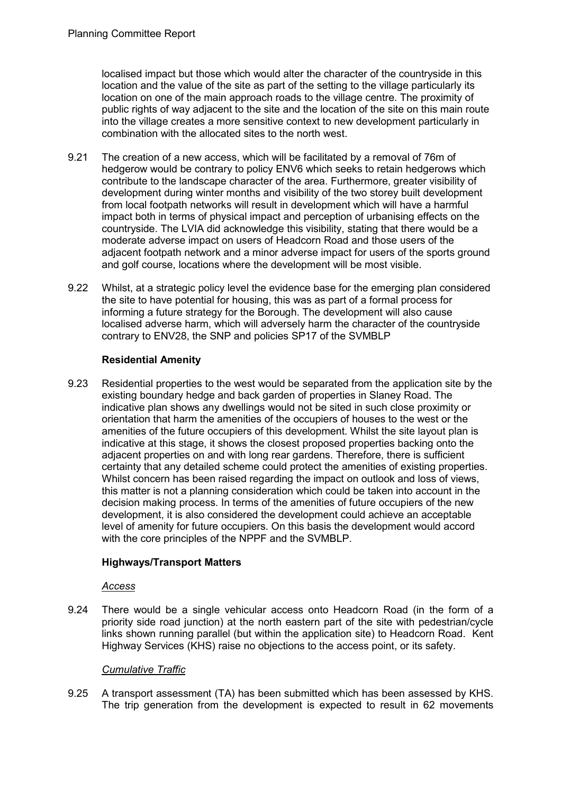localised impact but those which would alter the character of the countryside in this location and the value of the site as part of the setting to the village particularly its location on one of the main approach roads to the village centre. The proximity of public rights of way adjacent to the site and the location of the site on this main route into the village creates a more sensitive context to new development particularly in combination with the allocated sites to the north west.

- 9.21 The creation of a new access, which will be facilitated by a removal of 76m of hedgerow would be contrary to policy ENV6 which seeks to retain hedgerows which contribute to the landscape character of the area. Furthermore, greater visibility of development during winter months and visibility of the two storey built development from local footpath networks will result in development which will have a harmful impact both in terms of physical impact and perception of urbanising effects on the countryside. The LVIA did acknowledge this visibility, stating that there would be a moderate adverse impact on users of Headcorn Road and those users of the adjacent footpath network and a minor adverse impact for users of the sports ground and golf course, locations where the development will be most visible.
- 9.22 Whilst, at a strategic policy level the evidence base for the emerging plan considered the site to have potential for housing, this was as part of a formal process for informing a future strategy for the Borough. The development will also cause localised adverse harm, which will adversely harm the character of the countryside contrary to ENV28, the SNP and policies SP17 of the SVMBLP

## **Residential Amenity**

9.23 Residential properties to the west would be separated from the application site by the existing boundary hedge and back garden of properties in Slaney Road. The indicative plan shows any dwellings would not be sited in such close proximity or orientation that harm the amenities of the occupiers of houses to the west or the amenities of the future occupiers of this development. Whilst the site layout plan is indicative at this stage, it shows the closest proposed properties backing onto the adjacent properties on and with long rear gardens. Therefore, there is sufficient certainty that any detailed scheme could protect the amenities of existing properties. Whilst concern has been raised regarding the impact on outlook and loss of views, this matter is not a planning consideration which could be taken into account in the decision making process. In terms of the amenities of future occupiers of the new development, it is also considered the development could achieve an acceptable level of amenity for future occupiers. On this basis the development would accord with the core principles of the NPPF and the SVMBLP.

## **Highways/Transport Matters**

#### *Access*

9.24 There would be a single vehicular access onto Headcorn Road (in the form of a priority side road junction) at the north eastern part of the site with pedestrian/cycle links shown running parallel (but within the application site) to Headcorn Road. Kent Highway Services (KHS) raise no objections to the access point, or its safety.

#### *Cumulative Traffic*

9.25 A transport assessment (TA) has been submitted which has been assessed by KHS. The trip generation from the development is expected to result in 62 movements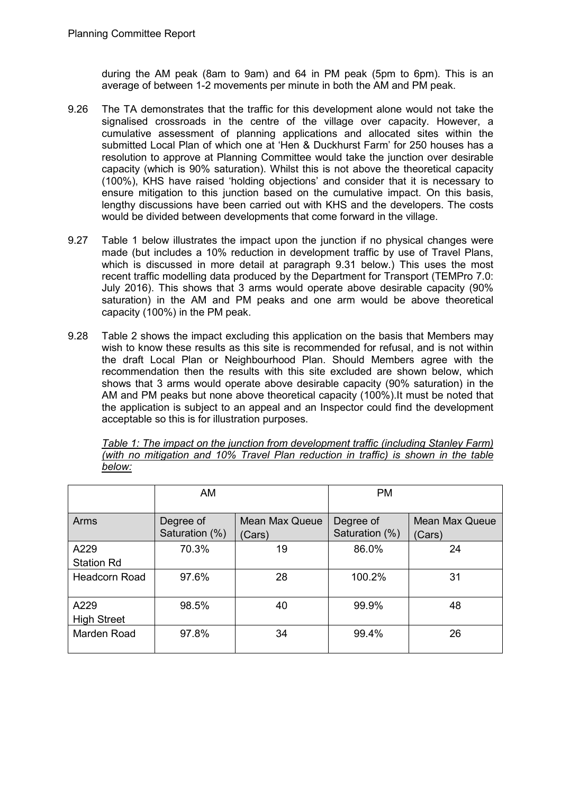during the AM peak (8am to 9am) and 64 in PM peak (5pm to 6pm). This is an average of between 1-2 movements per minute in both the AM and PM peak.

- 9.26 The TA demonstrates that the traffic for this development alone would not take the signalised crossroads in the centre of the village over capacity. However, a cumulative assessment of planning applications and allocated sites within the submitted Local Plan of which one at 'Hen & Duckhurst Farm' for 250 houses has a resolution to approve at Planning Committee would take the junction over desirable capacity (which is 90% saturation). Whilst this is not above the theoretical capacity (100%), KHS have raised 'holding objections' and consider that it is necessary to ensure mitigation to this junction based on the cumulative impact. On this basis, lengthy discussions have been carried out with KHS and the developers. The costs would be divided between developments that come forward in the village.
- 9.27 Table 1 below illustrates the impact upon the junction if no physical changes were made (but includes a 10% reduction in development traffic by use of Travel Plans, which is discussed in more detail at paragraph 9.31 below.) This uses the most recent traffic modelling data produced by the Department for Transport (TEMPro 7.0: July 2016). This shows that 3 arms would operate above desirable capacity (90% saturation) in the AM and PM peaks and one arm would be above theoretical capacity (100%) in the PM peak.
- 9.28 Table 2 shows the impact excluding this application on the basis that Members may wish to know these results as this site is recommended for refusal, and is not within the draft Local Plan or Neighbourhood Plan. Should Members agree with the recommendation then the results with this site excluded are shown below, which shows that 3 arms would operate above desirable capacity (90% saturation) in the AM and PM peaks but none above theoretical capacity (100%).It must be noted that the application is subject to an appeal and an Inspector could find the development acceptable so this is for illustration purposes.

|        | Table 1: The impact on the junction from development traffic (including Stanley Farm) |  |  |  |  |  |  |
|--------|---------------------------------------------------------------------------------------|--|--|--|--|--|--|
|        | (with no mitigation and 10% Travel Plan reduction in traffic) is shown in the table   |  |  |  |  |  |  |
| below: |                                                                                       |  |  |  |  |  |  |

|                            | <b>AM</b>                   |                                 | <b>PM</b>                   |                                 |
|----------------------------|-----------------------------|---------------------------------|-----------------------------|---------------------------------|
| Arms                       | Degree of<br>Saturation (%) | <b>Mean Max Queue</b><br>(Cars) | Degree of<br>Saturation (%) | <b>Mean Max Queue</b><br>(Cars) |
| A229<br><b>Station Rd</b>  | 70.3%                       | 19                              | 86.0%                       | 24                              |
| <b>Headcorn Road</b>       | 97.6%                       | 28                              | 100.2%                      | 31                              |
| A229<br><b>High Street</b> | 98.5%                       | 40                              | 99.9%                       | 48                              |
| Marden Road                | 97.8%                       | 34                              | 99.4%                       | 26                              |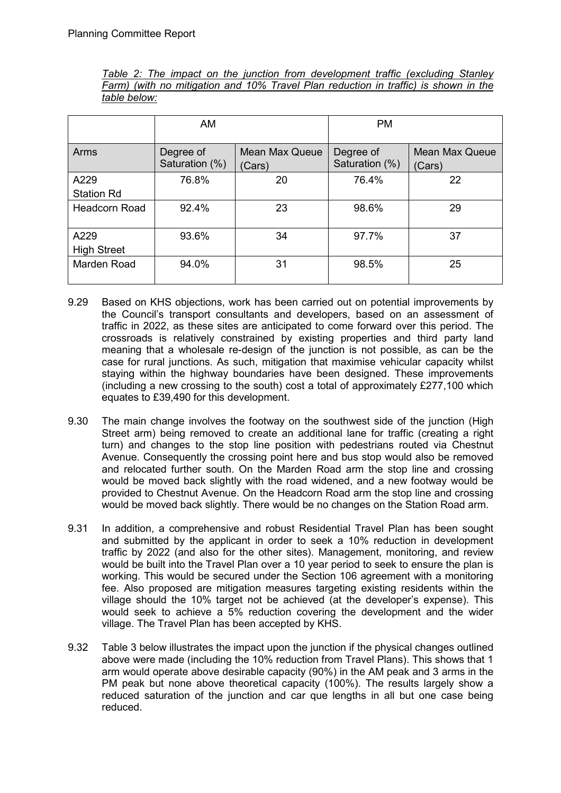|              |  |  |  |  | Table 2: The impact on the junction from development traffic (excluding Stanley     |  |  |  |
|--------------|--|--|--|--|-------------------------------------------------------------------------------------|--|--|--|
|              |  |  |  |  | Farm) (with no mitigation and 10% Travel Plan reduction in traffic) is shown in the |  |  |  |
| table below: |  |  |  |  |                                                                                     |  |  |  |

|                            | AM                          |                                 | <b>PM</b>                   |                                 |  |  |
|----------------------------|-----------------------------|---------------------------------|-----------------------------|---------------------------------|--|--|
| Arms                       | Degree of<br>Saturation (%) | <b>Mean Max Queue</b><br>(Cars) | Degree of<br>Saturation (%) | <b>Mean Max Queue</b><br>(Cars) |  |  |
| A229<br><b>Station Rd</b>  | 76.8%                       | 20                              | 76.4%                       | 22                              |  |  |
| <b>Headcorn Road</b>       | 92.4%                       | 23                              | 98.6%                       | 29                              |  |  |
| A229<br><b>High Street</b> | 93.6%                       | 34                              | 97.7%                       | 37                              |  |  |
| Marden Road                | 94.0%                       | 31                              | 98.5%                       | 25                              |  |  |

- 9.29 Based on KHS objections, work has been carried out on potential improvements by the Council's transport consultants and developers, based on an assessment of traffic in 2022, as these sites are anticipated to come forward over this period. The crossroads is relatively constrained by existing properties and third party land meaning that a wholesale re-design of the junction is not possible, as can be the case for rural junctions. As such, mitigation that maximise vehicular capacity whilst staying within the highway boundaries have been designed. These improvements (including a new crossing to the south) cost a total of approximately £277,100 which equates to £39,490 for this development.
- 9.30 The main change involves the footway on the southwest side of the junction (High Street arm) being removed to create an additional lane for traffic (creating a right turn) and changes to the stop line position with pedestrians routed via Chestnut Avenue. Consequently the crossing point here and bus stop would also be removed and relocated further south. On the Marden Road arm the stop line and crossing would be moved back slightly with the road widened, and a new footway would be provided to Chestnut Avenue. On the Headcorn Road arm the stop line and crossing would be moved back slightly. There would be no changes on the Station Road arm.
- 9.31 In addition, a comprehensive and robust Residential Travel Plan has been sought and submitted by the applicant in order to seek a 10% reduction in development traffic by 2022 (and also for the other sites). Management, monitoring, and review would be built into the Travel Plan over a 10 year period to seek to ensure the plan is working. This would be secured under the Section 106 agreement with a monitoring fee. Also proposed are mitigation measures targeting existing residents within the village should the 10% target not be achieved (at the developer's expense). This would seek to achieve a 5% reduction covering the development and the wider village. The Travel Plan has been accepted by KHS.
- 9.32 Table 3 below illustrates the impact upon the junction if the physical changes outlined above were made (including the 10% reduction from Travel Plans). This shows that 1 arm would operate above desirable capacity (90%) in the AM peak and 3 arms in the PM peak but none above theoretical capacity (100%). The results largely show a reduced saturation of the junction and car que lengths in all but one case being reduced.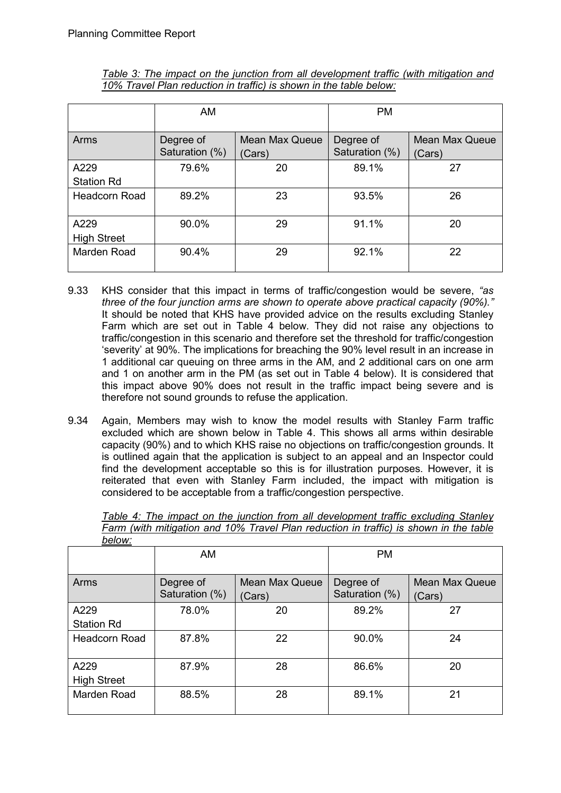|                            | AM                          |                                 | <b>PM</b>                   |                                 |
|----------------------------|-----------------------------|---------------------------------|-----------------------------|---------------------------------|
| Arms                       | Degree of<br>Saturation (%) | <b>Mean Max Queue</b><br>(Cars) | Degree of<br>Saturation (%) | <b>Mean Max Queue</b><br>(Cars) |
| A229                       | 79.6%                       | 20                              | 89.1%                       | 27                              |
| <b>Station Rd</b>          |                             |                                 |                             |                                 |
| <b>Headcorn Road</b>       | 89.2%                       | 23                              | 93.5%                       | 26                              |
| A229<br><b>High Street</b> | 90.0%                       | 29                              | 91.1%                       | 20                              |
| <b>Marden Road</b>         | 90.4%                       | 29                              | 92.1%                       | 22                              |

*Table 3: The impact on the junction from all development traffic (with mitigation and 10% Travel Plan reduction in traffic) is shown in the table below:*

- 9.33 KHS consider that this impact in terms of traffic/congestion would be severe, *"as three of the four junction arms are shown to operate above practical capacity (90%)."*  It should be noted that KHS have provided advice on the results excluding Stanley Farm which are set out in Table 4 below. They did not raise any objections to traffic/congestion in this scenario and therefore set the threshold for traffic/congestion 'severity' at 90%. The implications for breaching the 90% level result in an increase in 1 additional car queuing on three arms in the AM, and 2 additional cars on one arm and 1 on another arm in the PM (as set out in Table 4 below). It is considered that this impact above 90% does not result in the traffic impact being severe and is therefore not sound grounds to refuse the application.
- 9.34 Again, Members may wish to know the model results with Stanley Farm traffic excluded which are shown below in Table 4. This shows all arms within desirable capacity (90%) and to which KHS raise no objections on traffic/congestion grounds. It is outlined again that the application is subject to an appeal and an Inspector could find the development acceptable so this is for illustration purposes. However, it is reiterated that even with Stanley Farm included, the impact with mitigation is considered to be acceptable from a traffic/congestion perspective.

| <u> vuur.</u>              |                             |                                 |                             |                                 |  |  |  |  |  |
|----------------------------|-----------------------------|---------------------------------|-----------------------------|---------------------------------|--|--|--|--|--|
|                            | AM                          |                                 | <b>PM</b>                   |                                 |  |  |  |  |  |
| Arms                       | Degree of<br>Saturation (%) | <b>Mean Max Queue</b><br>(Cars) | Degree of<br>Saturation (%) | <b>Mean Max Queue</b><br>(Cars) |  |  |  |  |  |
| A229<br><b>Station Rd</b>  | 78.0%                       | 20                              | 89.2%                       | 27                              |  |  |  |  |  |
| Headcorn Road              | 87.8%                       | 22                              | 90.0%                       | 24                              |  |  |  |  |  |
| A229<br><b>High Street</b> | 87.9%                       | 28                              | 86.6%                       | 20                              |  |  |  |  |  |
| Marden Road                | 88.5%                       | 28                              | 89.1%                       | 21                              |  |  |  |  |  |

*Table 4: The impact on the junction from all development traffic excluding Stanley Farm (with mitigation and 10% Travel Plan reduction in traffic) is shown in the table below:*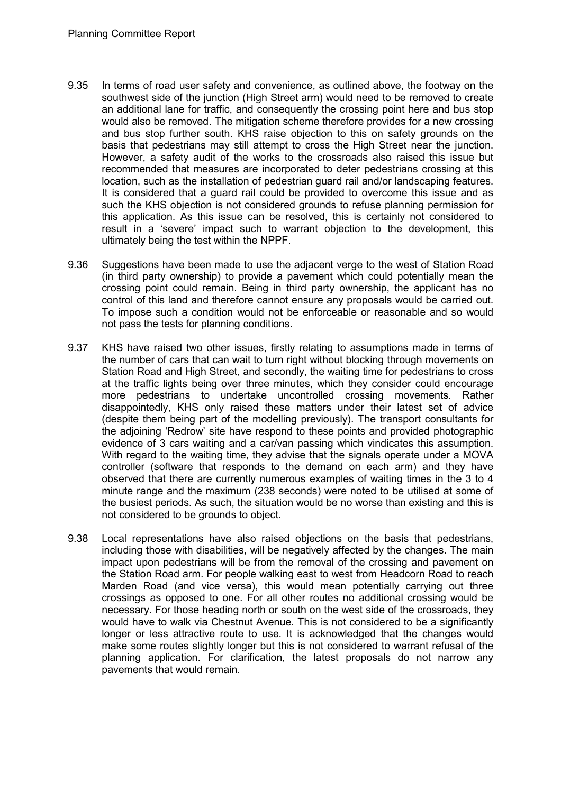- 9.35 In terms of road user safety and convenience, as outlined above, the footway on the southwest side of the junction (High Street arm) would need to be removed to create an additional lane for traffic, and consequently the crossing point here and bus stop would also be removed. The mitigation scheme therefore provides for a new crossing and bus stop further south. KHS raise objection to this on safety grounds on the basis that pedestrians may still attempt to cross the High Street near the junction. However, a safety audit of the works to the crossroads also raised this issue but recommended that measures are incorporated to deter pedestrians crossing at this location, such as the installation of pedestrian guard rail and/or landscaping features. It is considered that a guard rail could be provided to overcome this issue and as such the KHS objection is not considered grounds to refuse planning permission for this application. As this issue can be resolved, this is certainly not considered to result in a 'severe' impact such to warrant objection to the development, this ultimately being the test within the NPPF.
- 9.36 Suggestions have been made to use the adjacent verge to the west of Station Road (in third party ownership) to provide a pavement which could potentially mean the crossing point could remain. Being in third party ownership, the applicant has no control of this land and therefore cannot ensure any proposals would be carried out. To impose such a condition would not be enforceable or reasonable and so would not pass the tests for planning conditions.
- 9.37 KHS have raised two other issues, firstly relating to assumptions made in terms of the number of cars that can wait to turn right without blocking through movements on Station Road and High Street, and secondly, the waiting time for pedestrians to cross at the traffic lights being over three minutes, which they consider could encourage more pedestrians to undertake uncontrolled crossing movements. Rather disappointedly, KHS only raised these matters under their latest set of advice (despite them being part of the modelling previously). The transport consultants for the adjoining 'Redrow' site have respond to these points and provided photographic evidence of 3 cars waiting and a car/van passing which vindicates this assumption. With regard to the waiting time, they advise that the signals operate under a MOVA controller (software that responds to the demand on each arm) and they have observed that there are currently numerous examples of waiting times in the 3 to 4 minute range and the maximum (238 seconds) were noted to be utilised at some of the busiest periods. As such, the situation would be no worse than existing and this is not considered to be grounds to object.
- 9.38 Local representations have also raised objections on the basis that pedestrians, including those with disabilities, will be negatively affected by the changes. The main impact upon pedestrians will be from the removal of the crossing and pavement on the Station Road arm. For people walking east to west from Headcorn Road to reach Marden Road (and vice versa), this would mean potentially carrying out three crossings as opposed to one. For all other routes no additional crossing would be necessary. For those heading north or south on the west side of the crossroads, they would have to walk via Chestnut Avenue. This is not considered to be a significantly longer or less attractive route to use. It is acknowledged that the changes would make some routes slightly longer but this is not considered to warrant refusal of the planning application. For clarification, the latest proposals do not narrow any pavements that would remain.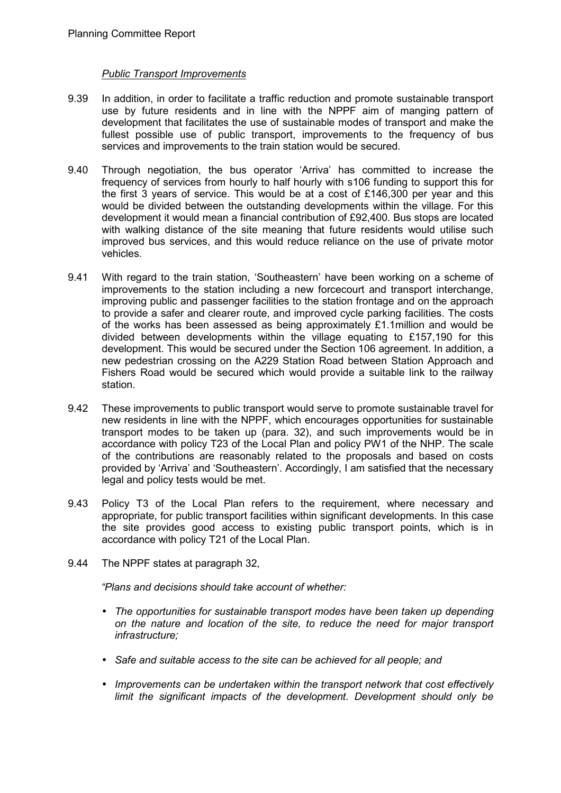#### *Public Transport Improvements*

- 9.39 In addition, in order to facilitate a traffic reduction and promote sustainable transport use by future residents and in line with the NPPF aim of manging pattern of development that facilitates the use of sustainable modes of transport and make the fullest possible use of public transport, improvements to the frequency of bus services and improvements to the train station would be secured.
- 9.40 Through negotiation, the bus operator 'Arriva' has committed to increase the frequency of services from hourly to half hourly with s106 funding to support this for the first 3 years of service. This would be at a cost of £146,300 per year and this would be divided between the outstanding developments within the village. For this development it would mean a financial contribution of £92,400. Bus stops are located with walking distance of the site meaning that future residents would utilise such improved bus services, and this would reduce reliance on the use of private motor vehicles.
- 9.41 With regard to the train station, 'Southeastern' have been working on a scheme of improvements to the station including a new forcecourt and transport interchange, improving public and passenger facilities to the station frontage and on the approach to provide a safer and clearer route, and improved cycle parking facilities. The costs of the works has been assessed as being approximately £1.1million and would be divided between developments within the village equating to  $£157.190$  for this development. This would be secured under the Section 106 agreement. In addition, a new pedestrian crossing on the A229 Station Road between Station Approach and Fishers Road would be secured which would provide a suitable link to the railway station.
- 9.42 These improvements to public transport would serve to promote sustainable travel for new residents in line with the NPPF, which encourages opportunities for sustainable transport modes to be taken up (para. 32), and such improvements would be in accordance with policy T23 of the Local Plan and policy PW1 of the NHP. The scale of the contributions are reasonably related to the proposals and based on costs provided by 'Arriva' and 'Southeastern'. Accordingly, I am satisfied that the necessary legal and policy tests would be met.
- 9.43 Policy T3 of the Local Plan refers to the requirement, where necessary and appropriate, for public transport facilities within significant developments. In this case the site provides good access to existing public transport points, which is in accordance with policy T21 of the Local Plan.
- 9.44 The NPPF states at paragraph 32,

*"Plans and decisions should take account of whether:* 

- *The opportunities for sustainable transport modes have been taken up depending on the nature and location of the site, to reduce the need for major transport infrastructure;*
- *Safe and suitable access to the site can be achieved for all people; and*
- *Improvements can be undertaken within the transport network that cost effectively limit the significant impacts of the development. Development should only be*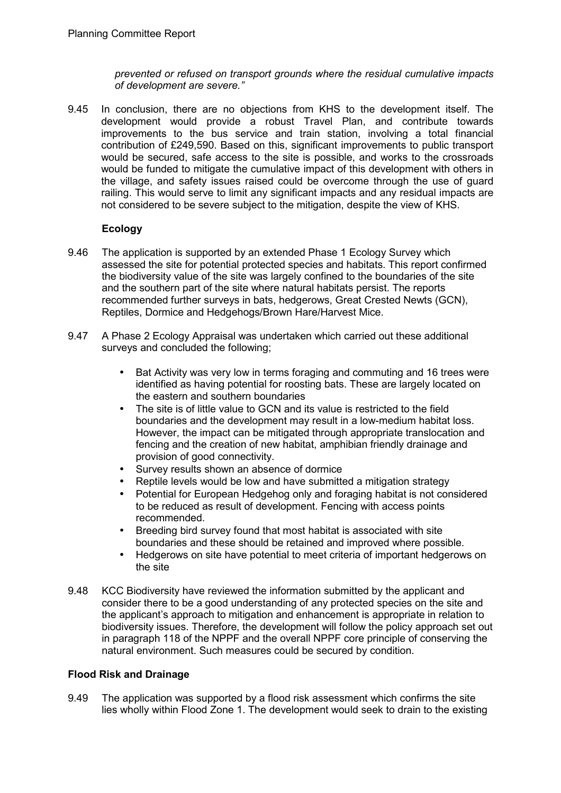*prevented or refused on transport grounds where the residual cumulative impacts of development are severe."* 

9.45 In conclusion, there are no objections from KHS to the development itself. The development would provide a robust Travel Plan, and contribute towards improvements to the bus service and train station, involving a total financial contribution of £249,590. Based on this, significant improvements to public transport would be secured, safe access to the site is possible, and works to the crossroads would be funded to mitigate the cumulative impact of this development with others in the village, and safety issues raised could be overcome through the use of guard railing. This would serve to limit any significant impacts and any residual impacts are not considered to be severe subject to the mitigation, despite the view of KHS.

## **Ecology**

- 9.46 The application is supported by an extended Phase 1 Ecology Survey which assessed the site for potential protected species and habitats. This report confirmed the biodiversity value of the site was largely confined to the boundaries of the site and the southern part of the site where natural habitats persist. The reports recommended further surveys in bats, hedgerows, Great Crested Newts (GCN), Reptiles, Dormice and Hedgehogs/Brown Hare/Harvest Mice.
- 9.47 A Phase 2 Ecology Appraisal was undertaken which carried out these additional surveys and concluded the following;
	- Bat Activity was very low in terms foraging and commuting and 16 trees were identified as having potential for roosting bats. These are largely located on the eastern and southern boundaries
	- The site is of little value to GCN and its value is restricted to the field boundaries and the development may result in a low-medium habitat loss. However, the impact can be mitigated through appropriate translocation and fencing and the creation of new habitat, amphibian friendly drainage and provision of good connectivity.
	- Survey results shown an absence of dormice
	- Reptile levels would be low and have submitted a mitigation strategy
	- Potential for European Hedgehog only and foraging habitat is not considered to be reduced as result of development. Fencing with access points recommended.
	- Breeding bird survey found that most habitat is associated with site boundaries and these should be retained and improved where possible.
	- Hedgerows on site have potential to meet criteria of important hedgerows on the site
- 9.48 KCC Biodiversity have reviewed the information submitted by the applicant and consider there to be a good understanding of any protected species on the site and the applicant's approach to mitigation and enhancement is appropriate in relation to biodiversity issues. Therefore, the development will follow the policy approach set out in paragraph 118 of the NPPF and the overall NPPF core principle of conserving the natural environment. Such measures could be secured by condition.

#### **Flood Risk and Drainage**

9.49 The application was supported by a flood risk assessment which confirms the site lies wholly within Flood Zone 1. The development would seek to drain to the existing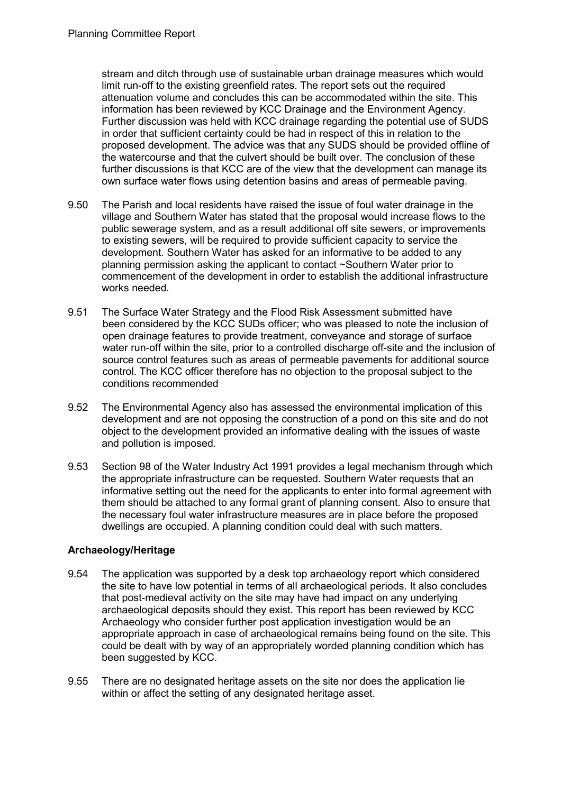stream and ditch through use of sustainable urban drainage measures which would limit run-off to the existing greenfield rates. The report sets out the required attenuation volume and concludes this can be accommodated within the site. This information has been reviewed by KCC Drainage and the Environment Agency. Further discussion was held with KCC drainage regarding the potential use of SUDS in order that sufficient certainty could be had in respect of this in relation to the proposed development. The advice was that any SUDS should be provided offline of the watercourse and that the culvert should be built over. The conclusion of these further discussions is that KCC are of the view that the development can manage its own surface water flows using detention basins and areas of permeable paving.

- 9.50 The Parish and local residents have raised the issue of foul water drainage in the village and Southern Water has stated that the proposal would increase flows to the public sewerage system, and as a result additional off site sewers, or improvements to existing sewers, will be required to provide sufficient capacity to service the development. Southern Water has asked for an informative to be added to any planning permission asking the applicant to contact ~Southern Water prior to commencement of the development in order to establish the additional infrastructure works needed.
- 9.51 The Surface Water Strategy and the Flood Risk Assessment submitted have been considered by the KCC SUDs officer; who was pleased to note the inclusion of open drainage features to provide treatment, conveyance and storage of surface water run-off within the site, prior to a controlled discharge off-site and the inclusion of source control features such as areas of permeable pavements for additional source control. The KCC officer therefore has no objection to the proposal subject to the conditions recommended
- 9.52 The Environmental Agency also has assessed the environmental implication of this development and are not opposing the construction of a pond on this site and do not object to the development provided an informative dealing with the issues of waste and pollution is imposed.
- 9.53 Section 98 of the Water Industry Act 1991 provides a legal mechanism through which the appropriate infrastructure can be requested. Southern Water requests that an informative setting out the need for the applicants to enter into formal agreement with them should be attached to any formal grant of planning consent. Also to ensure that the necessary foul water infrastructure measures are in place before the proposed dwellings are occupied. A planning condition could deal with such matters.

#### **Archaeology/Heritage**

- 9.54 The application was supported by a desk top archaeology report which considered the site to have low potential in terms of all archaeological periods. It also concludes that post-medieval activity on the site may have had impact on any underlying archaeological deposits should they exist. This report has been reviewed by KCC Archaeology who consider further post application investigation would be an appropriate approach in case of archaeological remains being found on the site. This could be dealt with by way of an appropriately worded planning condition which has been suggested by KCC.
- 9.55 There are no designated heritage assets on the site nor does the application lie within or affect the setting of any designated heritage asset.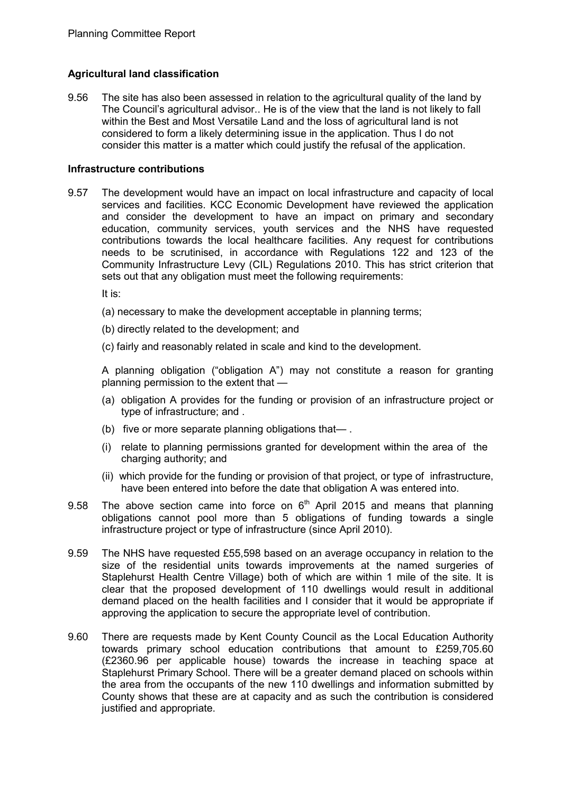## **Agricultural land classification**

9.56 The site has also been assessed in relation to the agricultural quality of the land by The Council's agricultural advisor.. He is of the view that the land is not likely to fall within the Best and Most Versatile Land and the loss of agricultural land is not considered to form a likely determining issue in the application. Thus I do not consider this matter is a matter which could justify the refusal of the application.

#### **Infrastructure contributions**

9.57 The development would have an impact on local infrastructure and capacity of local services and facilities. KCC Economic Development have reviewed the application and consider the development to have an impact on primary and secondary education, community services, youth services and the NHS have requested contributions towards the local healthcare facilities. Any request for contributions needs to be scrutinised, in accordance with Regulations 122 and 123 of the Community Infrastructure Levy (CIL) Regulations 2010. This has strict criterion that sets out that any obligation must meet the following requirements:

It is:

- (a) necessary to make the development acceptable in planning terms;
- (b) directly related to the development; and
- (c) fairly and reasonably related in scale and kind to the development.

A planning obligation ("obligation A") may not constitute a reason for granting planning permission to the extent that —

- (a) obligation A provides for the funding or provision of an infrastructure project or type of infrastructure; and .
- (b) five or more separate planning obligations that— .
- (i) relate to planning permissions granted for development within the area of the charging authority; and
- (ii) which provide for the funding or provision of that project, or type of infrastructure, have been entered into before the date that obligation A was entered into.
- 9.58 The above section came into force on  $6<sup>th</sup>$  April 2015 and means that planning obligations cannot pool more than 5 obligations of funding towards a single infrastructure project or type of infrastructure (since April 2010).
- 9.59 The NHS have requested £55,598 based on an average occupancy in relation to the size of the residential units towards improvements at the named surgeries of Staplehurst Health Centre Village) both of which are within 1 mile of the site. It is clear that the proposed development of 110 dwellings would result in additional demand placed on the health facilities and I consider that it would be appropriate if approving the application to secure the appropriate level of contribution.
- 9.60 There are requests made by Kent County Council as the Local Education Authority towards primary school education contributions that amount to £259,705.60 (£2360.96 per applicable house) towards the increase in teaching space at Staplehurst Primary School. There will be a greater demand placed on schools within the area from the occupants of the new 110 dwellings and information submitted by County shows that these are at capacity and as such the contribution is considered justified and appropriate.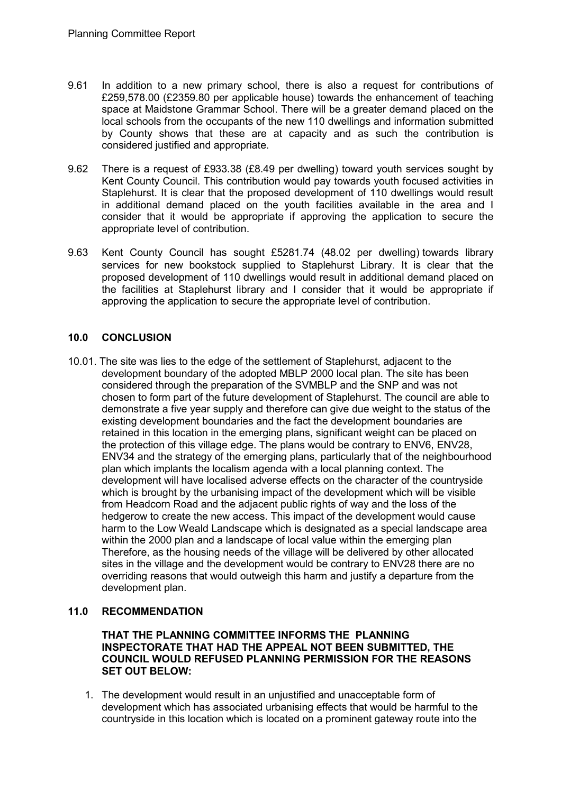- 9.61 In addition to a new primary school, there is also a request for contributions of £259,578.00 (£2359.80 per applicable house) towards the enhancement of teaching space at Maidstone Grammar School. There will be a greater demand placed on the local schools from the occupants of the new 110 dwellings and information submitted by County shows that these are at capacity and as such the contribution is considered justified and appropriate.
- 9.62 There is a request of £933.38 (£8.49 per dwelling) toward youth services sought by Kent County Council. This contribution would pay towards youth focused activities in Staplehurst. It is clear that the proposed development of 110 dwellings would result in additional demand placed on the youth facilities available in the area and I consider that it would be appropriate if approving the application to secure the appropriate level of contribution.
- 9.63 Kent County Council has sought £5281.74 (48.02 per dwelling) towards library services for new bookstock supplied to Staplehurst Library. It is clear that the proposed development of 110 dwellings would result in additional demand placed on the facilities at Staplehurst library and I consider that it would be appropriate if approving the application to secure the appropriate level of contribution.

## **10.0 CONCLUSION**

10.01. The site was lies to the edge of the settlement of Staplehurst, adjacent to the development boundary of the adopted MBLP 2000 local plan. The site has been considered through the preparation of the SVMBLP and the SNP and was not chosen to form part of the future development of Staplehurst. The council are able to demonstrate a five year supply and therefore can give due weight to the status of the existing development boundaries and the fact the development boundaries are retained in this location in the emerging plans, significant weight can be placed on the protection of this village edge. The plans would be contrary to ENV6, ENV28, ENV34 and the strategy of the emerging plans, particularly that of the neighbourhood plan which implants the localism agenda with a local planning context. The development will have localised adverse effects on the character of the countryside which is brought by the urbanising impact of the development which will be visible from Headcorn Road and the adjacent public rights of way and the loss of the hedgerow to create the new access. This impact of the development would cause harm to the Low Weald Landscape which is designated as a special landscape area within the 2000 plan and a landscape of local value within the emerging plan Therefore, as the housing needs of the village will be delivered by other allocated sites in the village and the development would be contrary to ENV28 there are no overriding reasons that would outweigh this harm and justify a departure from the development plan.

## **11.0 RECOMMENDATION**

#### **THAT THE PLANNING COMMITTEE INFORMS THE PLANNING INSPECTORATE THAT HAD THE APPEAL NOT BEEN SUBMITTED, THE COUNCIL WOULD REFUSED PLANNING PERMISSION FOR THE REASONS SET OUT BELOW:**

1. The development would result in an unjustified and unacceptable form of development which has associated urbanising effects that would be harmful to the countryside in this location which is located on a prominent gateway route into the